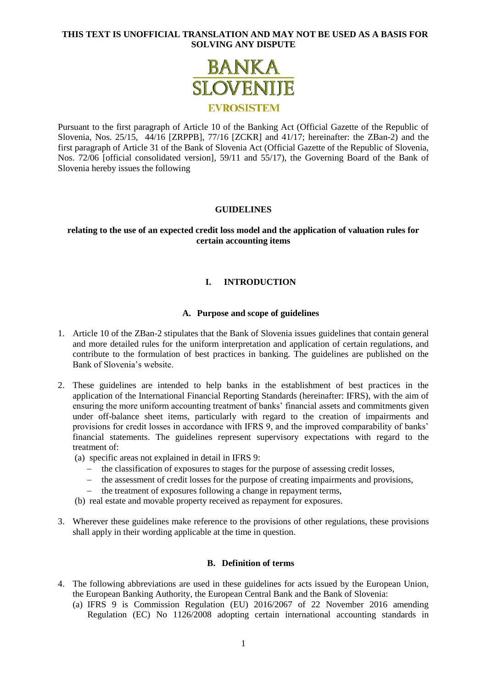

Pursuant to the first paragraph of Article 10 of the Banking Act (Official Gazette of the Republic of Slovenia, Nos. 25/15, 44/16 [ZRPPB], 77/16 [ZCKR] and 41/17; hereinafter: the ZBan-2) and the first paragraph of Article 31 of the Bank of Slovenia Act (Official Gazette of the Republic of Slovenia, Nos. 72/06 [official consolidated version], 59/11 and 55/17), the Governing Board of the Bank of Slovenia hereby issues the following

# **GUIDELINES**

### **relating to the use of an expected credit loss model and the application of valuation rules for certain accounting items**

# **I. INTRODUCTION**

#### **A. Purpose and scope of guidelines**

- 1. Article 10 of the ZBan-2 stipulates that the Bank of Slovenia issues guidelines that contain general and more detailed rules for the uniform interpretation and application of certain regulations, and contribute to the formulation of best practices in banking. The guidelines are published on the Bank of Slovenia's website.
- 2. These guidelines are intended to help banks in the establishment of best practices in the application of the International Financial Reporting Standards (hereinafter: IFRS), with the aim of ensuring the more uniform accounting treatment of banks' financial assets and commitments given under off-balance sheet items, particularly with regard to the creation of impairments and provisions for credit losses in accordance with IFRS 9, and the improved comparability of banks' financial statements. The guidelines represent supervisory expectations with regard to the treatment of:

(a) specific areas not explained in detail in IFRS 9:

- the classification of exposures to stages for the purpose of assessing credit losses,
- the assessment of credit losses for the purpose of creating impairments and provisions,
- the treatment of exposures following a change in repayment terms,
- (b) real estate and movable property received as repayment for exposures.
- 3. Wherever these guidelines make reference to the provisions of other regulations, these provisions shall apply in their wording applicable at the time in question.

#### **B. Definition of terms**

- 4. The following abbreviations are used in these guidelines for acts issued by the European Union, the European Banking Authority, the European Central Bank and the Bank of Slovenia:
	- (a) IFRS 9 is Commission Regulation (EU) 2016/2067 of 22 November 2016 amending Regulation (EC) No 1126/2008 adopting certain international accounting standards in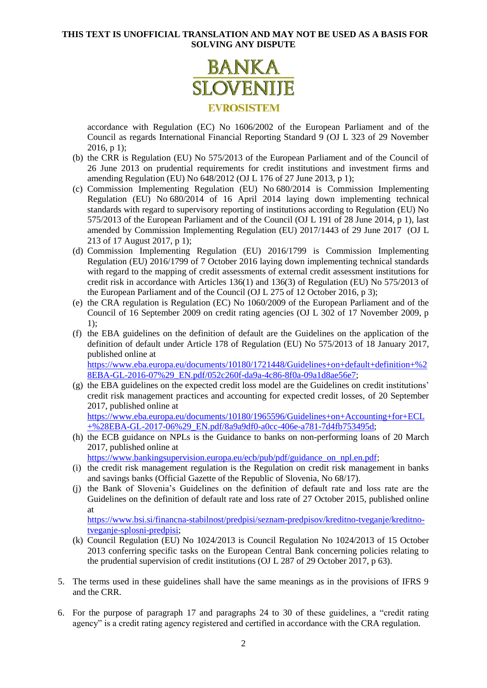

accordance with Regulation (EC) No 1606/2002 of the European Parliament and of the Council as regards International Financial Reporting Standard 9 (OJ L 323 of 29 November 2016, p 1);

- (b) the CRR is Regulation (EU) No 575/2013 of the European Parliament and of the Council of 26 June 2013 on prudential requirements for credit institutions and investment firms and amending Regulation (EU) No 648/2012 (OJ L 176 of 27 June 2013, p 1);
- (c) Commission Implementing Regulation (EU) No 680/2014 is Commission Implementing Regulation (EU) No 680/2014 of 16 April 2014 laying down implementing technical standards with regard to supervisory reporting of institutions according to Regulation (EU) No 575/2013 of the European Parliament and of the Council (OJ L 191 of 28 June 2014, p 1), last amended by Commission Implementing Regulation (EU) 2017/1443 of 29 June 2017 (OJ L 213 of 17 August 2017, p 1);
- (d) Commission Implementing Regulation (EU) 2016/1799 is Commission Implementing Regulation (EU) 2016/1799 of 7 October 2016 laying down implementing technical standards with regard to the mapping of credit assessments of external credit assessment institutions for credit risk in accordance with Articles 136(1) and 136(3) of Regulation (EU) No 575/2013 of the European Parliament and of the Council (OJ L 275 of 12 October 2016, p 3);
- (e) the CRA regulation is Regulation (EC) No 1060/2009 of the European Parliament and of the Council of 16 September 2009 on credit rating agencies (OJ L 302 of 17 November 2009, p 1);
- (f) the EBA guidelines on the definition of default are the Guidelines on the application of the definition of default under Article 178 of Regulation (EU) No 575/2013 of 18 January 2017, published online at [https://www.eba.europa.eu/documents/10180/1721448/Guidelines+on+default+definition+%2](https://www.eba.europa.eu/documents/10180/1721448/Guidelines+on+default+definition+%28EBA-GL-2016-07%29_EN.pdf/052c260f-da9a-4c86-8f0a-09a1d8ae56e7)

[8EBA-GL-2016-07%29\\_EN.pdf/052c260f-da9a-4c86-8f0a-09a1d8ae56e7;](https://www.eba.europa.eu/documents/10180/1721448/Guidelines+on+default+definition+%28EBA-GL-2016-07%29_EN.pdf/052c260f-da9a-4c86-8f0a-09a1d8ae56e7)

(g) the EBA guidelines on the expected credit loss model are the Guidelines on credit institutions' credit risk management practices and accounting for expected credit losses, of 20 September 2017, published online at [https://www.eba.europa.eu/documents/10180/1965596/Guidelines+on+Accounting+for+ECL](https://www.eba.europa.eu/documents/10180/1965596/Guidelines+on+Accounting+for+ECL+%28EBA-GL-2017-06%29_EN.pdf/8a9a9df0-a0cc-406e-a781-7d4fb753495d)

 $+\%28EBA-GL-2017-06\%29$  EN.pdf/8a9a9df0-a0cc-406e-a781-7d4fb753495d;

(h) the ECB guidance on NPLs is the Guidance to banks on non-performing loans of 20 March 2017, published online at

[https://www.bankingsupervision.europa.eu/ecb/pub/pdf/guidance\\_on\\_npl.en.pdf;](https://www.bankingsupervision.europa.eu/ecb/pub/pdf/guidance_on_npl.en.pdf)

- (i) the credit risk management regulation is the Regulation on credit risk management in banks and savings banks (Official Gazette of the Republic of Slovenia, No 68/17).
- (j) the Bank of Slovenia's Guidelines on the definition of default rate and loss rate are the Guidelines on the definition of default rate and loss rate of 27 October 2015, published online at

[https://www.bsi.si/financna-stabilnost/predpisi/seznam-predpisov/kreditno-tveganje/kreditno](https://www.bsi.si/financna-stabilnost/predpisi/seznam-predpisov/kreditno-tveganje/kreditno-tveganje-splosni-predpisi)[tveganje-splosni-predpisi;](https://www.bsi.si/financna-stabilnost/predpisi/seznam-predpisov/kreditno-tveganje/kreditno-tveganje-splosni-predpisi)

- (k) Council Regulation (EU) No 1024/2013 is Council Regulation No 1024/2013 of 15 October 2013 conferring specific tasks on the European Central Bank concerning policies relating to the prudential supervision of credit institutions (OJ L 287 of 29 October 2017, p 63).
- 5. The terms used in these guidelines shall have the same meanings as in the provisions of IFRS 9 and the CRR.
- 6. For the purpose of paragraph [17](#page-4-0) and paragraphs [24](#page-6-0) to [30](#page-8-0) of these guidelines, a "credit rating agency" is a credit rating agency registered and certified in accordance with the CRA regulation.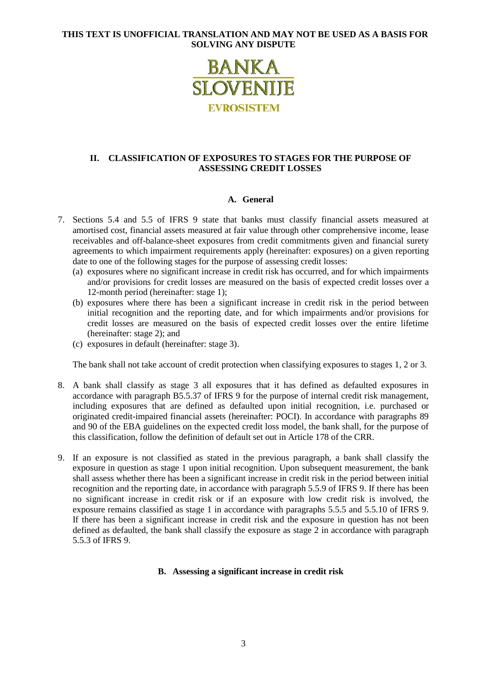

# **II. CLASSIFICATION OF EXPOSURES TO STAGES FOR THE PURPOSE OF ASSESSING CREDIT LOSSES**

# **A. General**

- 7. Sections 5.4 and 5.5 of IFRS 9 state that banks must classify financial assets measured at amortised cost, financial assets measured at fair value through other comprehensive income, lease receivables and off-balance-sheet exposures from credit commitments given and financial surety agreements to which impairment requirements apply (hereinafter: exposures) on a given reporting date to one of the following stages for the purpose of assessing credit losses:
	- (a) exposures where no significant increase in credit risk has occurred, and for which impairments and/or provisions for credit losses are measured on the basis of expected credit losses over a 12-month period (hereinafter: stage 1);
	- (b) exposures where there has been a significant increase in credit risk in the period between initial recognition and the reporting date, and for which impairments and/or provisions for credit losses are measured on the basis of expected credit losses over the entire lifetime (hereinafter: stage 2); and
	- (c) exposures in default (hereinafter: stage 3).

The bank shall not take account of credit protection when classifying exposures to stages 1, 2 or 3.

- 8. A bank shall classify as stage 3 all exposures that it has defined as defaulted exposures in accordance with paragraph B5.5.37 of IFRS 9 for the purpose of internal credit risk management, including exposures that are defined as defaulted upon initial recognition, i.e. purchased or originated credit-impaired financial assets (hereinafter: POCI). In accordance with paragraphs 89 and 90 of the EBA guidelines on the expected credit loss model, the bank shall, for the purpose of this classification, follow the definition of default set out in Article 178 of the CRR.
- 9. If an exposure is not classified as stated in the previous paragraph, a bank shall classify the exposure in question as stage 1 upon initial recognition. Upon subsequent measurement, the bank shall assess whether there has been a significant increase in credit risk in the period between initial recognition and the reporting date, in accordance with paragraph 5.5.9 of IFRS 9. If there has been no significant increase in credit risk or if an exposure with low credit risk is involved, the exposure remains classified as stage 1 in accordance with paragraphs 5.5.5 and 5.5.10 of IFRS 9. If there has been a significant increase in credit risk and the exposure in question has not been defined as defaulted, the bank shall classify the exposure as stage 2 in accordance with paragraph 5.5.3 of IFRS 9.

# **B. Assessing a significant increase in credit risk**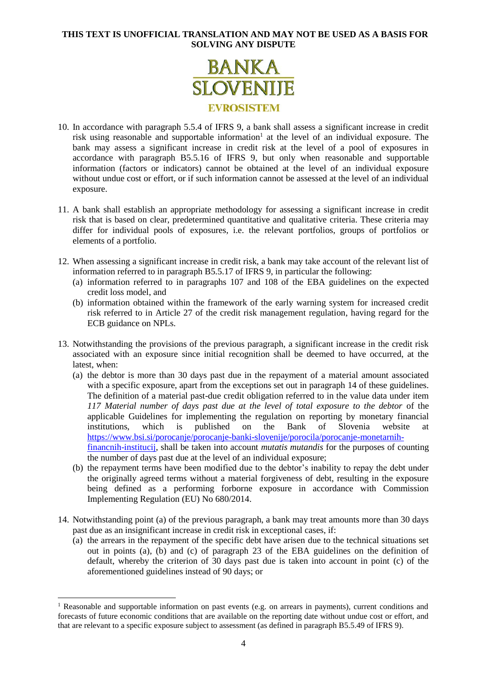

- 10. In accordance with paragraph 5.5.4 of IFRS 9, a bank shall assess a significant increase in credit risk using reasonable and supportable information<sup>1</sup> at the level of an individual exposure. The bank may assess a significant increase in credit risk at the level of a pool of exposures in accordance with paragraph B5.5.16 of IFRS 9, but only when reasonable and supportable information (factors or indicators) cannot be obtained at the level of an individual exposure without undue cost or effort, or if such information cannot be assessed at the level of an individual exposure.
- 11. A bank shall establish an appropriate methodology for assessing a significant increase in credit risk that is based on clear, predetermined quantitative and qualitative criteria. These criteria may differ for individual pools of exposures, i.e. the relevant portfolios, groups of portfolios or elements of a portfolio.
- <span id="page-3-1"></span>12. When assessing a significant increase in credit risk, a bank may take account of the relevant list of information referred to in paragraph B5.5.17 of IFRS 9, in particular the following:
	- (a) information referred to in paragraphs 107 and 108 of the EBA guidelines on the expected credit loss model, and
	- (b) information obtained within the framework of the early warning system for increased credit risk referred to in Article 27 of the credit risk management regulation, having regard for the ECB guidance on NPLs.
- <span id="page-3-2"></span>13. Notwithstanding the provisions of the previous paragraph, a significant increase in the credit risk associated with an exposure since initial recognition shall be deemed to have occurred, at the latest, when:
	- (a) the debtor is more than 30 days past due in the repayment of a material amount associated with a specific exposure, apart from the exceptions set out in paragraph [14](#page-3-0) of these guidelines. The definition of a material past-due credit obligation referred to in the value data under item *117 Material number of days past due at the level of total exposure to the debtor* of the applicable Guidelines for implementing the regulation on reporting by monetary financial institutions, which is published on the Bank of Slovenia website at [https://www.bsi.si/porocanje/porocanje-banki-slovenije/porocila/porocanje-monetarnih](https://www.bsi.si/porocanje/porocanje-banki-slovenije/porocila/porocanje-monetarnih-financnih-institucij)[financnih-institucij,](https://www.bsi.si/porocanje/porocanje-banki-slovenije/porocila/porocanje-monetarnih-financnih-institucij) shall be taken into account *mutatis mutandis* for the purposes of counting the number of days past due at the level of an individual exposure;
	- (b) the repayment terms have been modified due to the debtor's inability to repay the debt under the originally agreed terms without a material forgiveness of debt, resulting in the exposure being defined as a performing forborne exposure in accordance with Commission Implementing Regulation (EU) No 680/2014.
- <span id="page-3-0"></span>14. Notwithstanding point (a) of the previous paragraph, a bank may treat amounts more than 30 days past due as an insignificant increase in credit risk in exceptional cases, if:
	- (a) the arrears in the repayment of the specific debt have arisen due to the technical situations set out in points (a), (b) and (c) of paragraph 23 of the EBA guidelines on the definition of default, whereby the criterion of 30 days past due is taken into account in point (c) of the aforementioned guidelines instead of 90 days; or

1

<sup>&</sup>lt;sup>1</sup> Reasonable and supportable information on past events (e.g. on arrears in payments), current conditions and forecasts of future economic conditions that are available on the reporting date without undue cost or effort, and that are relevant to a specific exposure subject to assessment (as defined in paragraph B5.5.49 of IFRS 9).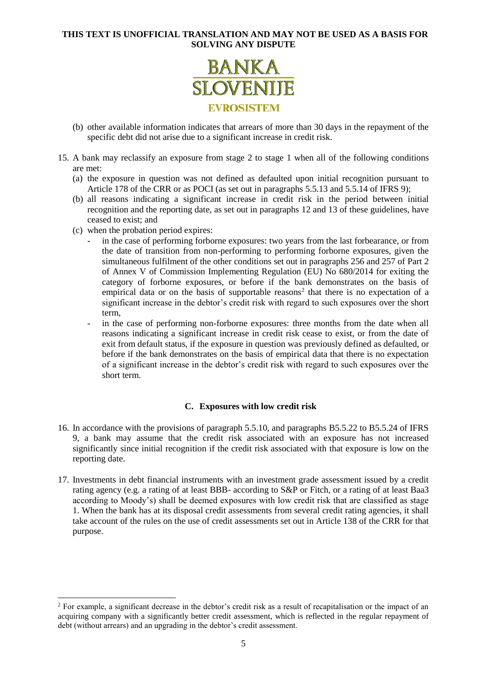

- (b) other available information indicates that arrears of more than 30 days in the repayment of the specific debt did not arise due to a significant increase in credit risk.
- <span id="page-4-1"></span>15. A bank may reclassify an exposure from stage 2 to stage 1 when all of the following conditions are met:
	- (a) the exposure in question was not defined as defaulted upon initial recognition pursuant to Article 178 of the CRR or as POCI (as set out in paragraphs 5.5.13 and 5.5.14 of IFRS 9);
	- (b) all reasons indicating a significant increase in credit risk in the period between initial recognition and the reporting date, as set out in paragraphs [12](#page-3-1) and [13](#page-3-2) of these guidelines, have ceased to exist; and
	- (c) when the probation period expires:

1

- in the case of performing forborne exposures: two years from the last forbearance, or from the date of transition from non-performing to performing forborne exposures, given the simultaneous fulfilment of the other conditions set out in paragraphs 256 and 257 of Part 2 of Annex V of Commission Implementing Regulation (EU) No 680/2014 for exiting the category of forborne exposures, or before if the bank demonstrates on the basis of empirical data or on the basis of supportable reasons<sup>2</sup> that there is no expectation of a significant increase in the debtor's credit risk with regard to such exposures over the short term,
- in the case of performing non-forborne exposures: three months from the date when all reasons indicating a significant increase in credit risk cease to exist, or from the date of exit from default status, if the exposure in question was previously defined as defaulted, or before if the bank demonstrates on the basis of empirical data that there is no expectation of a significant increase in the debtor's credit risk with regard to such exposures over the short term.

# **C. Exposures with low credit risk**

- 16. In accordance with the provisions of paragraph 5.5.10, and paragraphs B5.5.22 to B5.5.24 of IFRS 9, a bank may assume that the credit risk associated with an exposure has not increased significantly since initial recognition if the credit risk associated with that exposure is low on the reporting date.
- <span id="page-4-0"></span>17. Investments in debt financial instruments with an investment grade assessment issued by a credit rating agency (e.g. a rating of at least BBB- according to S&P or Fitch, or a rating of at least Baa3 according to Moody's) shall be deemed exposures with low credit risk that are classified as stage 1. When the bank has at its disposal credit assessments from several credit rating agencies, it shall take account of the rules on the use of credit assessments set out in Article 138 of the CRR for that purpose.

<sup>&</sup>lt;sup>2</sup> For example, a significant decrease in the debtor's credit risk as a result of recapitalisation or the impact of an acquiring company with a significantly better credit assessment, which is reflected in the regular repayment of debt (without arrears) and an upgrading in the debtor's credit assessment.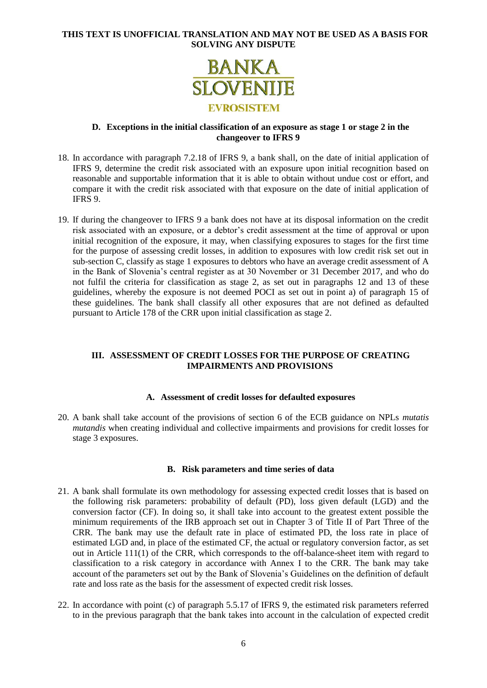

#### **D. Exceptions in the initial classification of an exposure as stage 1 or stage 2 in the changeover to IFRS 9**

- 18. In accordance with paragraph 7.2.18 of IFRS 9, a bank shall, on the date of initial application of IFRS 9, determine the credit risk associated with an exposure upon initial recognition based on reasonable and supportable information that it is able to obtain without undue cost or effort, and compare it with the credit risk associated with that exposure on the date of initial application of IFRS 9.
- 19. If during the changeover to IFRS 9 a bank does not have at its disposal information on the credit risk associated with an exposure, or a debtor's credit assessment at the time of approval or upon initial recognition of the exposure, it may, when classifying exposures to stages for the first time for the purpose of assessing credit losses, in addition to exposures with low credit risk set out in sub-section C, classify as stage 1 exposures to debtors who have an average credit assessment of A in the Bank of Slovenia's central register as at 30 November or 31 December 2017, and who do not fulfil the criteria for classification as stage 2, as set out in paragraphs [12](#page-3-1) and [13](#page-3-2) of these guidelines, whereby the exposure is not deemed POCI as set out in point a) of paragraph [15](#page-4-1) of these guidelines. The bank shall classify all other exposures that are not defined as defaulted pursuant to Article 178 of the CRR upon initial classification as stage 2.

# **III. ASSESSMENT OF CREDIT LOSSES FOR THE PURPOSE OF CREATING IMPAIRMENTS AND PROVISIONS**

#### **A. Assessment of credit losses for defaulted exposures**

20. A bank shall take account of the provisions of section 6 of the ECB guidance on NPLs *mutatis mutandis* when creating individual and collective impairments and provisions for credit losses for stage 3 exposures.

#### **B. Risk parameters and time series of data**

- 21. A bank shall formulate its own methodology for assessing expected credit losses that is based on the following risk parameters: probability of default (PD), loss given default (LGD) and the conversion factor (CF). In doing so, it shall take into account to the greatest extent possible the minimum requirements of the IRB approach set out in Chapter 3 of Title II of Part Three of the CRR. The bank may use the default rate in place of estimated PD, the loss rate in place of estimated LGD and, in place of the estimated CF, the actual or regulatory conversion factor, as set out in Article 111(1) of the CRR, which corresponds to the off-balance-sheet item with regard to classification to a risk category in accordance with Annex I to the CRR. The bank may take account of the parameters set out by the Bank of Slovenia's Guidelines on the definition of default rate and loss rate as the basis for the assessment of expected credit risk losses.
- 22. In accordance with point (c) of paragraph 5.5.17 of IFRS 9, the estimated risk parameters referred to in the previous paragraph that the bank takes into account in the calculation of expected credit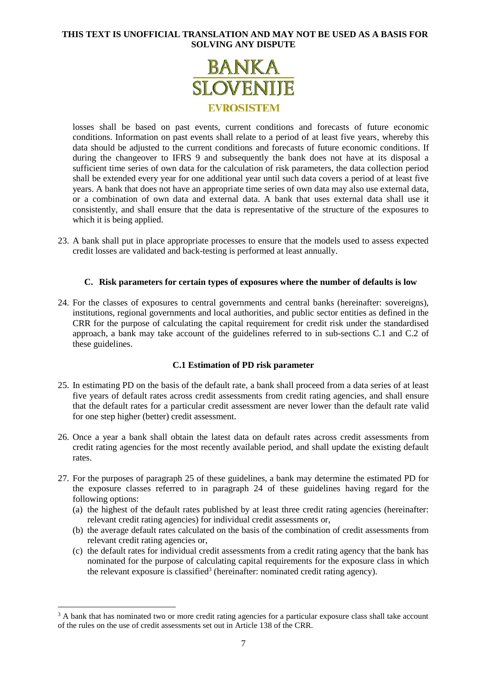

losses shall be based on past events, current conditions and forecasts of future economic conditions. Information on past events shall relate to a period of at least five years, whereby this data should be adjusted to the current conditions and forecasts of future economic conditions. If during the changeover to IFRS 9 and subsequently the bank does not have at its disposal a sufficient time series of own data for the calculation of risk parameters, the data collection period shall be extended every year for one additional year until such data covers a period of at least five years. A bank that does not have an appropriate time series of own data may also use external data, or a combination of own data and external data. A bank that uses external data shall use it consistently, and shall ensure that the data is representative of the structure of the exposures to which it is being applied.

23. A bank shall put in place appropriate processes to ensure that the models used to assess expected credit losses are validated and back-testing is performed at least annually.

# **C. Risk parameters for certain types of exposures where the number of defaults is low**

<span id="page-6-0"></span>24. For the classes of exposures to central governments and central banks (hereinafter: sovereigns), institutions, regional governments and local authorities, and public sector entities as defined in the CRR for the purpose of calculating the capital requirement for credit risk under the standardised approach, a bank may take account of the guidelines referred to in sub-sections C.1 and C.2 of these guidelines.

# **C.1 Estimation of PD risk parameter**

- <span id="page-6-1"></span>25. In estimating PD on the basis of the default rate, a bank shall proceed from a data series of at least five years of default rates across credit assessments from credit rating agencies, and shall ensure that the default rates for a particular credit assessment are never lower than the default rate valid for one step higher (better) credit assessment.
- 26. Once a year a bank shall obtain the latest data on default rates across credit assessments from credit rating agencies for the most recently available period, and shall update the existing default rates.
- <span id="page-6-2"></span>27. For the purposes of paragraph [25](#page-6-1) of these guidelines, a bank may determine the estimated PD for the exposure classes referred to in paragraph [24](#page-6-0) of these guidelines having regard for the following options:
	- (a) the highest of the default rates published by at least three credit rating agencies (hereinafter: relevant credit rating agencies) for individual credit assessments or,
	- (b) the average default rates calculated on the basis of the combination of credit assessments from relevant credit rating agencies or,
	- (c) the default rates for individual credit assessments from a credit rating agency that the bank has nominated for the purpose of calculating capital requirements for the exposure class in which the relevant exposure is classified<sup>3</sup> (hereinafter: nominated credit rating agency).

-

<sup>&</sup>lt;sup>3</sup> A bank that has nominated two or more credit rating agencies for a particular exposure class shall take account of the rules on the use of credit assessments set out in Article 138 of the CRR.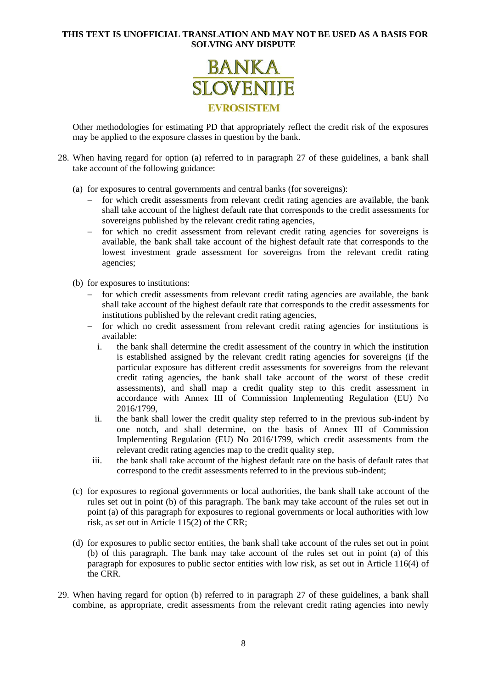

Other methodologies for estimating PD that appropriately reflect the credit risk of the exposures may be applied to the exposure classes in question by the bank.

- 28. When having regard for option (a) referred to in paragraph [27](#page-6-2) of these guidelines, a bank shall take account of the following guidance:
	- (a) for exposures to central governments and central banks (for sovereigns):
		- for which credit assessments from relevant credit rating agencies are available, the bank shall take account of the highest default rate that corresponds to the credit assessments for sovereigns published by the relevant credit rating agencies,
		- for which no credit assessment from relevant credit rating agencies for sovereigns is available, the bank shall take account of the highest default rate that corresponds to the lowest investment grade assessment for sovereigns from the relevant credit rating agencies;
	- (b) for exposures to institutions:
		- for which credit assessments from relevant credit rating agencies are available, the bank shall take account of the highest default rate that corresponds to the credit assessments for institutions published by the relevant credit rating agencies,
		- for which no credit assessment from relevant credit rating agencies for institutions is available:
			- i. the bank shall determine the credit assessment of the country in which the institution is established assigned by the relevant credit rating agencies for sovereigns (if the particular exposure has different credit assessments for sovereigns from the relevant credit rating agencies, the bank shall take account of the worst of these credit assessments), and shall map a credit quality step to this credit assessment in accordance with Annex III of Commission Implementing Regulation (EU) No 2016/1799,
			- ii. the bank shall lower the credit quality step referred to in the previous sub-indent by one notch, and shall determine, on the basis of Annex III of Commission Implementing Regulation (EU) No 2016/1799, which credit assessments from the relevant credit rating agencies map to the credit quality step,
			- iii. the bank shall take account of the highest default rate on the basis of default rates that correspond to the credit assessments referred to in the previous sub-indent;
	- (c) for exposures to regional governments or local authorities, the bank shall take account of the rules set out in point (b) of this paragraph. The bank may take account of the rules set out in point (a) of this paragraph for exposures to regional governments or local authorities with low risk, as set out in Article 115(2) of the CRR;
	- (d) for exposures to public sector entities, the bank shall take account of the rules set out in point (b) of this paragraph. The bank may take account of the rules set out in point (a) of this paragraph for exposures to public sector entities with low risk, as set out in Article 116(4) of the CRR.
- 29. When having regard for option (b) referred to in paragraph [27](#page-6-2) of these guidelines, a bank shall combine, as appropriate, credit assessments from the relevant credit rating agencies into newly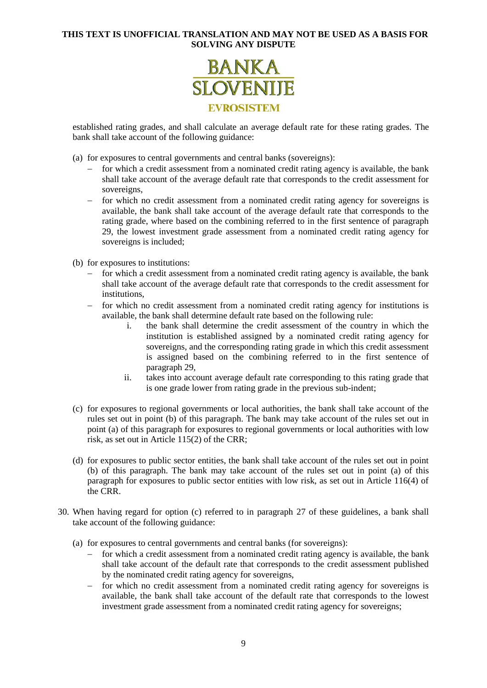

established rating grades, and shall calculate an average default rate for these rating grades. The bank shall take account of the following guidance:

- (a) for exposures to central governments and central banks (sovereigns):
	- $\overline{\phantom{a}}$  for which a credit assessment from a nominated credit rating agency is available, the bank shall take account of the average default rate that corresponds to the credit assessment for sovereigns,
	- for which no credit assessment from a nominated credit rating agency for sovereigns is available, the bank shall take account of the average default rate that corresponds to the rating grade, where based on the combining referred to in the first sentence of paragraph 29, the lowest investment grade assessment from a nominated credit rating agency for sovereigns is included;
- (b) for exposures to institutions:
	- $\overline{\phantom{a}}$  for which a credit assessment from a nominated credit rating agency is available, the bank shall take account of the average default rate that corresponds to the credit assessment for institutions,
	- for which no credit assessment from a nominated credit rating agency for institutions is available, the bank shall determine default rate based on the following rule:
		- i. the bank shall determine the credit assessment of the country in which the institution is established assigned by a nominated credit rating agency for sovereigns, and the corresponding rating grade in which this credit assessment is assigned based on the combining referred to in the first sentence of paragraph 29,
		- ii. takes into account average default rate corresponding to this rating grade that is one grade lower from rating grade in the previous sub-indent;
- (c) for exposures to regional governments or local authorities, the bank shall take account of the rules set out in point (b) of this paragraph. The bank may take account of the rules set out in point (a) of this paragraph for exposures to regional governments or local authorities with low risk, as set out in Article 115(2) of the CRR;
- (d) for exposures to public sector entities, the bank shall take account of the rules set out in point (b) of this paragraph. The bank may take account of the rules set out in point (a) of this paragraph for exposures to public sector entities with low risk, as set out in Article 116(4) of the CRR.
- <span id="page-8-0"></span>30. When having regard for option (c) referred to in paragraph [27](#page-6-2) of these guidelines, a bank shall take account of the following guidance:
	- (a) for exposures to central governments and central banks (for sovereigns):
		- $\overline{\phantom{a}}$  for which a credit assessment from a nominated credit rating agency is available, the bank shall take account of the default rate that corresponds to the credit assessment published by the nominated credit rating agency for sovereigns,
		- for which no credit assessment from a nominated credit rating agency for sovereigns is available, the bank shall take account of the default rate that corresponds to the lowest investment grade assessment from a nominated credit rating agency for sovereigns;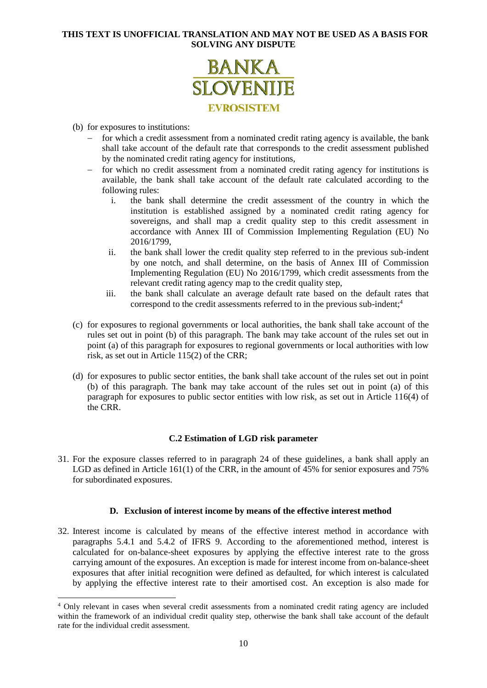

(b) for exposures to institutions:

1

- for which a credit assessment from a nominated credit rating agency is available, the bank shall take account of the default rate that corresponds to the credit assessment published by the nominated credit rating agency for institutions,
- $\overline{\phantom{a}}$  for which no credit assessment from a nominated credit rating agency for institutions is available, the bank shall take account of the default rate calculated according to the following rules:
	- i. the bank shall determine the credit assessment of the country in which the institution is established assigned by a nominated credit rating agency for sovereigns, and shall map a credit quality step to this credit assessment in accordance with Annex III of Commission Implementing Regulation (EU) No 2016/1799,
	- ii. the bank shall lower the credit quality step referred to in the previous sub-indent by one notch, and shall determine, on the basis of Annex III of Commission Implementing Regulation (EU) No 2016/1799, which credit assessments from the relevant credit rating agency map to the credit quality step,
	- iii. the bank shall calculate an average default rate based on the default rates that correspond to the credit assessments referred to in the previous sub-indent;<sup>4</sup>
- (c) for exposures to regional governments or local authorities, the bank shall take account of the rules set out in point (b) of this paragraph. The bank may take account of the rules set out in point (a) of this paragraph for exposures to regional governments or local authorities with low risk, as set out in Article 115(2) of the CRR;
- (d) for exposures to public sector entities, the bank shall take account of the rules set out in point (b) of this paragraph. The bank may take account of the rules set out in point (a) of this paragraph for exposures to public sector entities with low risk, as set out in Article 116(4) of the CRR.

# **C.2 Estimation of LGD risk parameter**

31. For the exposure classes referred to in paragraph [24](#page-6-0) of these guidelines, a bank shall apply an LGD as defined in Article 161(1) of the CRR, in the amount of 45% for senior exposures and 75% for subordinated exposures.

#### **D. Exclusion of interest income by means of the effective interest method**

32. Interest income is calculated by means of the effective interest method in accordance with paragraphs 5.4.1 and 5.4.2 of IFRS 9. According to the aforementioned method, interest is calculated for on-balance-sheet exposures by applying the effective interest rate to the gross carrying amount of the exposures. An exception is made for interest income from on-balance-sheet exposures that after initial recognition were defined as defaulted, for which interest is calculated by applying the effective interest rate to their amortised cost. An exception is also made for

<sup>4</sup> Only relevant in cases when several credit assessments from a nominated credit rating agency are included within the framework of an individual credit quality step, otherwise the bank shall take account of the default rate for the individual credit assessment.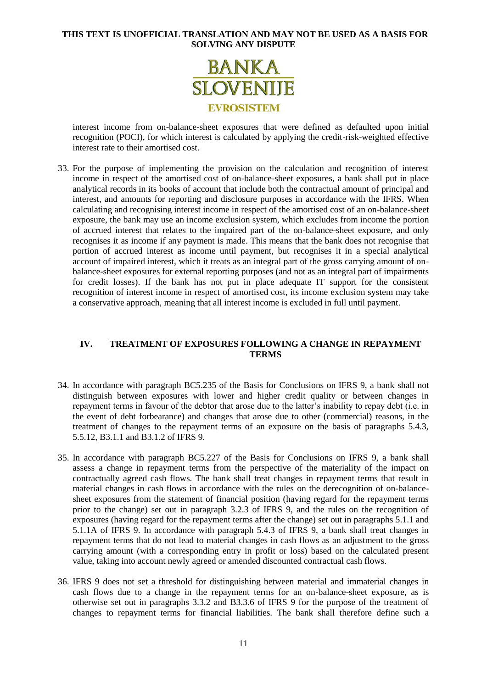

interest income from on-balance-sheet exposures that were defined as defaulted upon initial recognition (POCI), for which interest is calculated by applying the credit-risk-weighted effective interest rate to their amortised cost.

33. For the purpose of implementing the provision on the calculation and recognition of interest income in respect of the amortised cost of on-balance-sheet exposures, a bank shall put in place analytical records in its books of account that include both the contractual amount of principal and interest, and amounts for reporting and disclosure purposes in accordance with the IFRS. When calculating and recognising interest income in respect of the amortised cost of an on-balance-sheet exposure, the bank may use an income exclusion system, which excludes from income the portion of accrued interest that relates to the impaired part of the on-balance-sheet exposure, and only recognises it as income if any payment is made. This means that the bank does not recognise that portion of accrued interest as income until payment, but recognises it in a special analytical account of impaired interest, which it treats as an integral part of the gross carrying amount of onbalance-sheet exposures for external reporting purposes (and not as an integral part of impairments for credit losses). If the bank has not put in place adequate IT support for the consistent recognition of interest income in respect of amortised cost, its income exclusion system may take a conservative approach, meaning that all interest income is excluded in full until payment.

# **IV. TREATMENT OF EXPOSURES FOLLOWING A CHANGE IN REPAYMENT TERMS**

- 34. In accordance with paragraph BC5.235 of the Basis for Conclusions on IFRS 9, a bank shall not distinguish between exposures with lower and higher credit quality or between changes in repayment terms in favour of the debtor that arose due to the latter's inability to repay debt (i.e. in the event of debt forbearance) and changes that arose due to other (commercial) reasons, in the treatment of changes to the repayment terms of an exposure on the basis of paragraphs 5.4.3, 5.5.12, B3.1.1 and B3.1.2 of IFRS 9.
- <span id="page-10-1"></span>35. In accordance with paragraph BC5.227 of the Basis for Conclusions on IFRS 9, a bank shall assess a change in repayment terms from the perspective of the materiality of the impact on contractually agreed cash flows. The bank shall treat changes in repayment terms that result in material changes in cash flows in accordance with the rules on the derecognition of on-balancesheet exposures from the statement of financial position (having regard for the repayment terms prior to the change) set out in paragraph 3.2.3 of IFRS 9, and the rules on the recognition of exposures (having regard for the repayment terms after the change) set out in paragraphs 5.1.1 and 5.1.1A of IFRS 9. In accordance with paragraph 5.4.3 of IFRS 9, a bank shall treat changes in repayment terms that do not lead to material changes in cash flows as an adjustment to the gross carrying amount (with a corresponding entry in profit or loss) based on the calculated present value, taking into account newly agreed or amended discounted contractual cash flows.
- <span id="page-10-0"></span>36. IFRS 9 does not set a threshold for distinguishing between material and immaterial changes in cash flows due to a change in the repayment terms for an on-balance-sheet exposure, as is otherwise set out in paragraphs 3.3.2 and B3.3.6 of IFRS 9 for the purpose of the treatment of changes to repayment terms for financial liabilities. The bank shall therefore define such a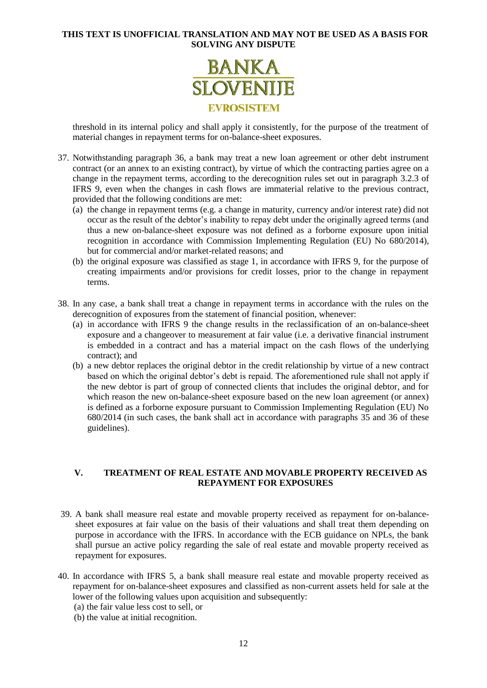

threshold in its internal policy and shall apply it consistently, for the purpose of the treatment of material changes in repayment terms for on-balance-sheet exposures.

- 37. Notwithstanding paragraph [36,](#page-10-0) a bank may treat a new loan agreement or other debt instrument contract (or an annex to an existing contract), by virtue of which the contracting parties agree on a change in the repayment terms, according to the derecognition rules set out in paragraph 3.2.3 of IFRS 9, even when the changes in cash flows are immaterial relative to the previous contract, provided that the following conditions are met:
	- (a) the change in repayment terms (e.g. a change in maturity, currency and/or interest rate) did not occur as the result of the debtor's inability to repay debt under the originally agreed terms (and thus a new on-balance-sheet exposure was not defined as a forborne exposure upon initial recognition in accordance with Commission Implementing Regulation (EU) No 680/2014), but for commercial and/or market-related reasons; and
	- (b) the original exposure was classified as stage 1, in accordance with IFRS 9, for the purpose of creating impairments and/or provisions for credit losses, prior to the change in repayment terms.
- 38. In any case, a bank shall treat a change in repayment terms in accordance with the rules on the derecognition of exposures from the statement of financial position, whenever:
	- (a) in accordance with IFRS 9 the change results in the reclassification of an on-balance-sheet exposure and a changeover to measurement at fair value (i.e. a derivative financial instrument is embedded in a contract and has a material impact on the cash flows of the underlying contract); and
	- (b) a new debtor replaces the original debtor in the credit relationship by virtue of a new contract based on which the original debtor's debt is repaid. The aforementioned rule shall not apply if the new debtor is part of group of connected clients that includes the original debtor, and for which reason the new on-balance-sheet exposure based on the new loan agreement (or annex) is defined as a forborne exposure pursuant to Commission Implementing Regulation (EU) No 680/2014 (in such cases, the bank shall act in accordance with paragraphs [35](#page-10-1) and [36](#page-10-0) of these guidelines).

# **V. TREATMENT OF REAL ESTATE AND MOVABLE PROPERTY RECEIVED AS REPAYMENT FOR EXPOSURES**

- 39. A bank shall measure real estate and movable property received as repayment for on-balancesheet exposures at fair value on the basis of their valuations and shall treat them depending on purpose in accordance with the IFRS. In accordance with the ECB guidance on NPLs, the bank shall pursue an active policy regarding the sale of real estate and movable property received as repayment for exposures.
- <span id="page-11-0"></span>40. In accordance with IFRS 5, a bank shall measure real estate and movable property received as repayment for on-balance-sheet exposures and classified as non-current assets held for sale at the lower of the following values upon acquisition and subsequently:
	- (a) the fair value less cost to sell, or
	- (b) the value at initial recognition.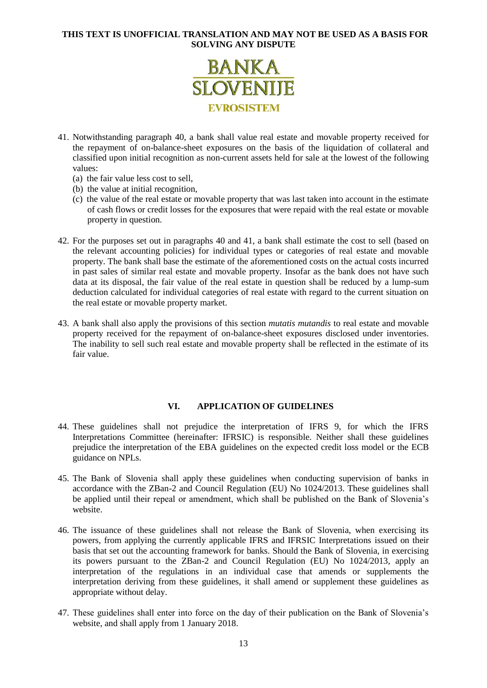

- <span id="page-12-0"></span>41. Notwithstanding paragraph [40,](#page-11-0) a bank shall value real estate and movable property received for the repayment of on-balance-sheet exposures on the basis of the liquidation of collateral and classified upon initial recognition as non-current assets held for sale at the lowest of the following values:
	- (a) the fair value less cost to sell,
	- (b) the value at initial recognition,
	- (c) the value of the real estate or movable property that was last taken into account in the estimate of cash flows or credit losses for the exposures that were repaid with the real estate or movable property in question.
- 42. For the purposes set out in paragraphs [40](#page-11-0) and [41,](#page-12-0) a bank shall estimate the cost to sell (based on the relevant accounting policies) for individual types or categories of real estate and movable property. The bank shall base the estimate of the aforementioned costs on the actual costs incurred in past sales of similar real estate and movable property. Insofar as the bank does not have such data at its disposal, the fair value of the real estate in question shall be reduced by a lump-sum deduction calculated for individual categories of real estate with regard to the current situation on the real estate or movable property market.
- 43. A bank shall also apply the provisions of this section *mutatis mutandis* to real estate and movable property received for the repayment of on-balance-sheet exposures disclosed under inventories. The inability to sell such real estate and movable property shall be reflected in the estimate of its fair value.

# **VI. APPLICATION OF GUIDELINES**

- 44. These guidelines shall not prejudice the interpretation of IFRS 9, for which the IFRS Interpretations Committee (hereinafter: IFRSIC) is responsible. Neither shall these guidelines prejudice the interpretation of the EBA guidelines on the expected credit loss model or the ECB guidance on NPLs.
- 45. The Bank of Slovenia shall apply these guidelines when conducting supervision of banks in accordance with the ZBan-2 and Council Regulation (EU) No 1024/2013. These guidelines shall be applied until their repeal or amendment, which shall be published on the Bank of Slovenia's website.
- 46. The issuance of these guidelines shall not release the Bank of Slovenia, when exercising its powers, from applying the currently applicable IFRS and IFRSIC Interpretations issued on their basis that set out the accounting framework for banks. Should the Bank of Slovenia, in exercising its powers pursuant to the ZBan-2 and Council Regulation (EU) No 1024/2013, apply an interpretation of the regulations in an individual case that amends or supplements the interpretation deriving from these guidelines, it shall amend or supplement these guidelines as appropriate without delay.
- 47. These guidelines shall enter into force on the day of their publication on the Bank of Slovenia's website, and shall apply from 1 January 2018.